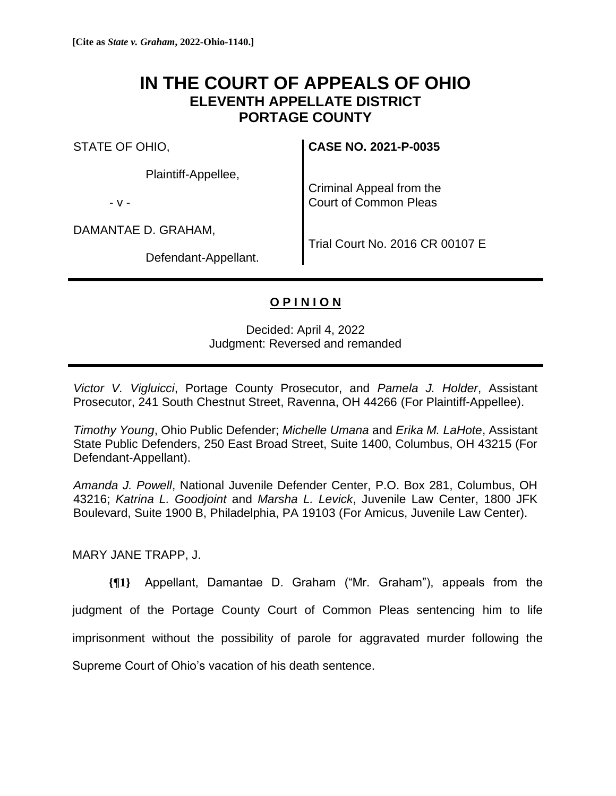# **IN THE COURT OF APPEALS OF OHIO ELEVENTH APPELLATE DISTRICT PORTAGE COUNTY**

STATE OF OHIO,

Plaintiff-Appellee,

- v -

DAMANTAE D. GRAHAM,

Defendant-Appellant.

**CASE NO. 2021-P-0035**

Criminal Appeal from the Court of Common Pleas

Trial Court No. 2016 CR 00107 E

# **O P I N I O N**

Decided: April 4, 2022 Judgment: Reversed and remanded

*Victor V. Vigluicci*, Portage County Prosecutor, and *Pamela J. Holder*, Assistant Prosecutor, 241 South Chestnut Street, Ravenna, OH 44266 (For Plaintiff-Appellee).

*Timothy Young*, Ohio Public Defender; *Michelle Umana* and *Erika M. LaHote*, Assistant State Public Defenders, 250 East Broad Street, Suite 1400, Columbus, OH 43215 (For Defendant-Appellant).

*Amanda J. Powell*, National Juvenile Defender Center, P.O. Box 281, Columbus, OH 43216; *Katrina L. Goodjoint* and *Marsha L. Levick*, Juvenile Law Center, 1800 JFK Boulevard, Suite 1900 B, Philadelphia, PA 19103 (For Amicus, Juvenile Law Center).

MARY JANE TRAPP, J.

**{¶1}** Appellant, Damantae D. Graham ("Mr. Graham"), appeals from the judgment of the Portage County Court of Common Pleas sentencing him to life imprisonment without the possibility of parole for aggravated murder following the Supreme Court of Ohio's vacation of his death sentence.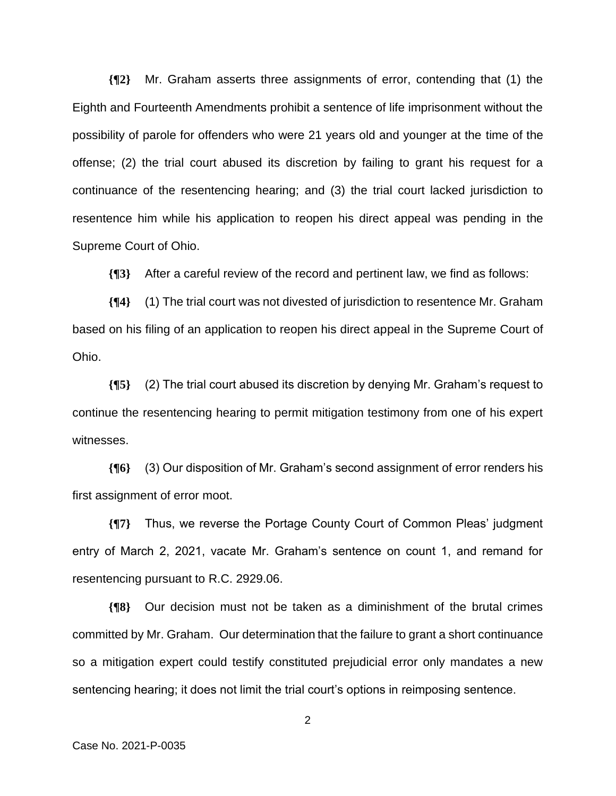**{¶2}** Mr. Graham asserts three assignments of error, contending that (1) the Eighth and Fourteenth Amendments prohibit a sentence of life imprisonment without the possibility of parole for offenders who were 21 years old and younger at the time of the offense; (2) the trial court abused its discretion by failing to grant his request for a continuance of the resentencing hearing; and (3) the trial court lacked jurisdiction to resentence him while his application to reopen his direct appeal was pending in the Supreme Court of Ohio.

**{¶3}** After a careful review of the record and pertinent law, we find as follows:

**{¶4}** (1) The trial court was not divested of jurisdiction to resentence Mr. Graham based on his filing of an application to reopen his direct appeal in the Supreme Court of Ohio.

**{¶5}** (2) The trial court abused its discretion by denying Mr. Graham's request to continue the resentencing hearing to permit mitigation testimony from one of his expert witnesses.

**{¶6}** (3) Our disposition of Mr. Graham's second assignment of error renders his first assignment of error moot.

**{¶7}** Thus, we reverse the Portage County Court of Common Pleas' judgment entry of March 2, 2021, vacate Mr. Graham's sentence on count 1, and remand for resentencing pursuant to R.C. 2929.06.

**{¶8}** Our decision must not be taken as a diminishment of the brutal crimes committed by Mr. Graham. Our determination that the failure to grant a short continuance so a mitigation expert could testify constituted prejudicial error only mandates a new sentencing hearing; it does not limit the trial court's options in reimposing sentence.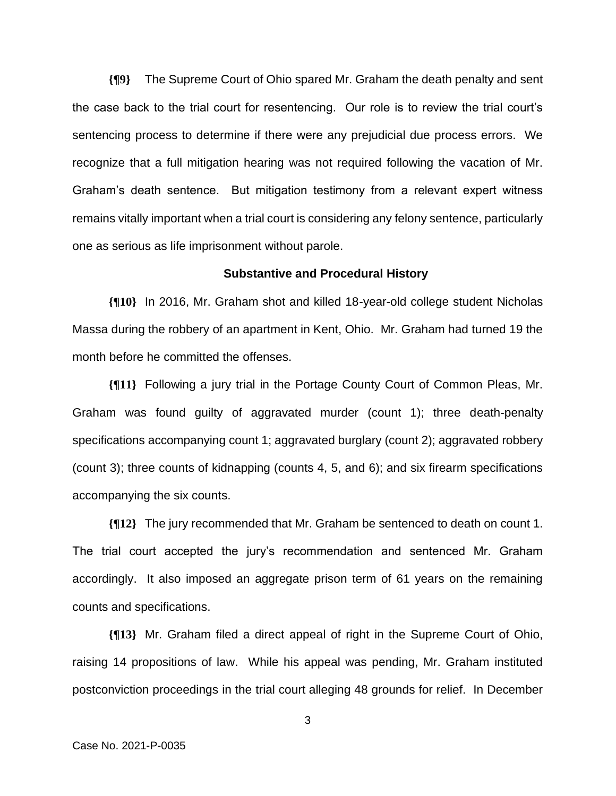**{¶9}** The Supreme Court of Ohio spared Mr. Graham the death penalty and sent the case back to the trial court for resentencing. Our role is to review the trial court's sentencing process to determine if there were any prejudicial due process errors. We recognize that a full mitigation hearing was not required following the vacation of Mr. Graham's death sentence. But mitigation testimony from a relevant expert witness remains vitally important when a trial court is considering any felony sentence, particularly one as serious as life imprisonment without parole.

#### **Substantive and Procedural History**

**{¶10}** In 2016, Mr. Graham shot and killed 18-year-old college student Nicholas Massa during the robbery of an apartment in Kent, Ohio. Mr. Graham had turned 19 the month before he committed the offenses.

**{¶11}** Following a jury trial in the Portage County Court of Common Pleas, Mr. Graham was found guilty of aggravated murder (count 1); three death-penalty specifications accompanying count 1; aggravated burglary (count 2); aggravated robbery (count 3); three counts of kidnapping (counts 4, 5, and 6); and six firearm specifications accompanying the six counts.

**{¶12}** The jury recommended that Mr. Graham be sentenced to death on count 1. The trial court accepted the jury's recommendation and sentenced Mr. Graham accordingly. It also imposed an aggregate prison term of 61 years on the remaining counts and specifications.

**{¶13}** Mr. Graham filed a direct appeal of right in the Supreme Court of Ohio, raising 14 propositions of law. While his appeal was pending, Mr. Graham instituted postconviction proceedings in the trial court alleging 48 grounds for relief. In December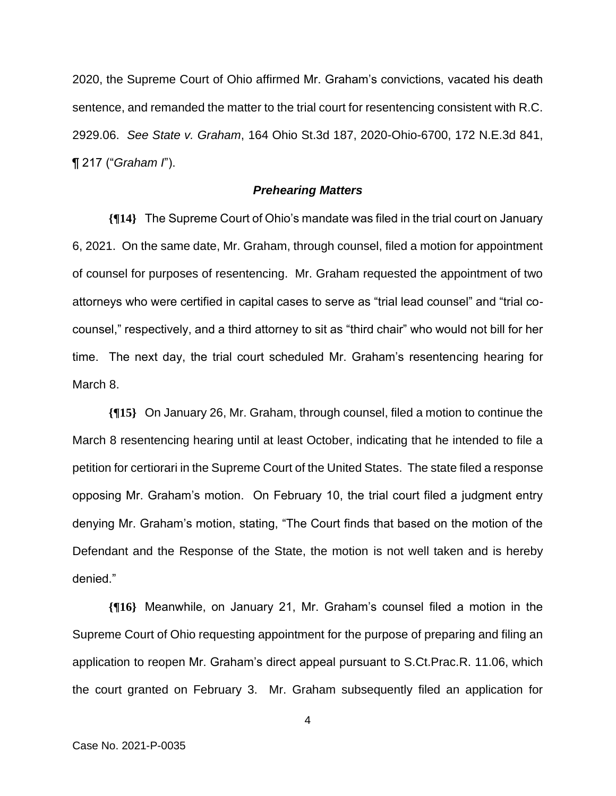2020, the Supreme Court of Ohio affirmed Mr. Graham's convictions, vacated his death sentence, and remanded the matter to the trial court for resentencing consistent with R.C. 2929.06. *See State v. Graham*, 164 Ohio St.3d 187, 2020-Ohio-6700, 172 N.E.3d 841, ¶ 217 ("*Graham I*").

# *Prehearing Matters*

**{¶14}** The Supreme Court of Ohio's mandate was filed in the trial court on January 6, 2021. On the same date, Mr. Graham, through counsel, filed a motion for appointment of counsel for purposes of resentencing. Mr. Graham requested the appointment of two attorneys who were certified in capital cases to serve as "trial lead counsel" and "trial cocounsel," respectively, and a third attorney to sit as "third chair" who would not bill for her time. The next day, the trial court scheduled Mr. Graham's resentencing hearing for March 8.

**{¶15}** On January 26, Mr. Graham, through counsel, filed a motion to continue the March 8 resentencing hearing until at least October, indicating that he intended to file a petition for certiorari in the Supreme Court of the United States. The state filed a response opposing Mr. Graham's motion. On February 10, the trial court filed a judgment entry denying Mr. Graham's motion, stating, "The Court finds that based on the motion of the Defendant and the Response of the State, the motion is not well taken and is hereby denied."

**{¶16}** Meanwhile, on January 21, Mr. Graham's counsel filed a motion in the Supreme Court of Ohio requesting appointment for the purpose of preparing and filing an application to reopen Mr. Graham's direct appeal pursuant to S.Ct.Prac.R. 11.06, which the court granted on February 3. Mr. Graham subsequently filed an application for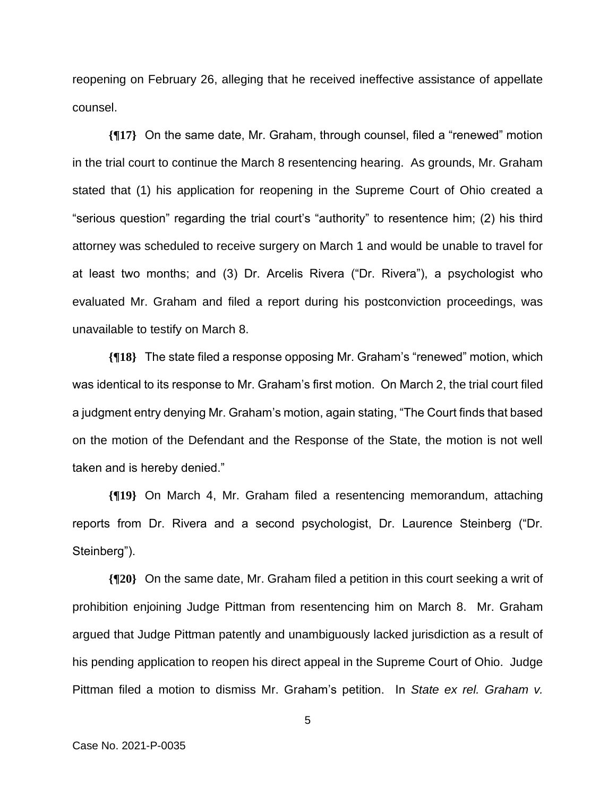reopening on February 26, alleging that he received ineffective assistance of appellate counsel.

**{¶17}** On the same date, Mr. Graham, through counsel, filed a "renewed" motion in the trial court to continue the March 8 resentencing hearing. As grounds, Mr. Graham stated that (1) his application for reopening in the Supreme Court of Ohio created a "serious question" regarding the trial court's "authority" to resentence him; (2) his third attorney was scheduled to receive surgery on March 1 and would be unable to travel for at least two months; and (3) Dr. Arcelis Rivera ("Dr. Rivera"), a psychologist who evaluated Mr. Graham and filed a report during his postconviction proceedings, was unavailable to testify on March 8.

**{¶18}** The state filed a response opposing Mr. Graham's "renewed" motion, which was identical to its response to Mr. Graham's first motion. On March 2, the trial court filed a judgment entry denying Mr. Graham's motion, again stating, "The Court finds that based on the motion of the Defendant and the Response of the State, the motion is not well taken and is hereby denied."

**{¶19}** On March 4, Mr. Graham filed a resentencing memorandum, attaching reports from Dr. Rivera and a second psychologist, Dr. Laurence Steinberg ("Dr. Steinberg").

**{¶20}** On the same date, Mr. Graham filed a petition in this court seeking a writ of prohibition enjoining Judge Pittman from resentencing him on March 8. Mr. Graham argued that Judge Pittman patently and unambiguously lacked jurisdiction as a result of his pending application to reopen his direct appeal in the Supreme Court of Ohio. Judge Pittman filed a motion to dismiss Mr. Graham's petition. In *State ex rel. Graham v.*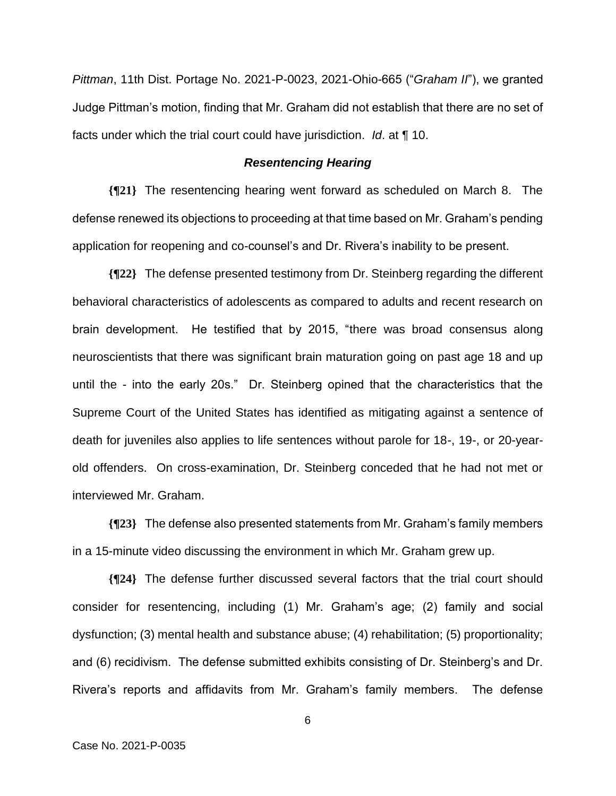*Pittman*, 11th Dist. Portage No. 2021-P-0023, 2021-Ohio-665 ("*Graham II*"), we granted Judge Pittman's motion, finding that Mr. Graham did not establish that there are no set of facts under which the trial court could have jurisdiction. *Id*. at ¶ 10.

# *Resentencing Hearing*

**{¶21}** The resentencing hearing went forward as scheduled on March 8. The defense renewed its objections to proceeding at that time based on Mr. Graham's pending application for reopening and co-counsel's and Dr. Rivera's inability to be present.

**{¶22}** The defense presented testimony from Dr. Steinberg regarding the different behavioral characteristics of adolescents as compared to adults and recent research on brain development. He testified that by 2015, "there was broad consensus along neuroscientists that there was significant brain maturation going on past age 18 and up until the - into the early 20s." Dr. Steinberg opined that the characteristics that the Supreme Court of the United States has identified as mitigating against a sentence of death for juveniles also applies to life sentences without parole for 18-, 19-, or 20-yearold offenders. On cross-examination, Dr. Steinberg conceded that he had not met or interviewed Mr. Graham.

**{¶23}** The defense also presented statements from Mr. Graham's family members in a 15-minute video discussing the environment in which Mr. Graham grew up.

**{¶24}** The defense further discussed several factors that the trial court should consider for resentencing, including (1) Mr. Graham's age; (2) family and social dysfunction; (3) mental health and substance abuse; (4) rehabilitation; (5) proportionality; and (6) recidivism. The defense submitted exhibits consisting of Dr. Steinberg's and Dr. Rivera's reports and affidavits from Mr. Graham's family members. The defense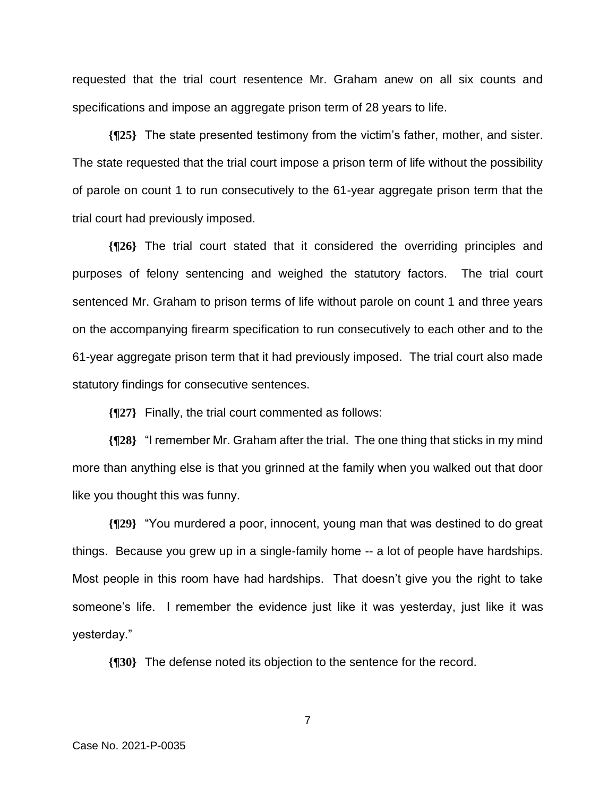requested that the trial court resentence Mr. Graham anew on all six counts and specifications and impose an aggregate prison term of 28 years to life.

**{¶25}** The state presented testimony from the victim's father, mother, and sister. The state requested that the trial court impose a prison term of life without the possibility of parole on count 1 to run consecutively to the 61-year aggregate prison term that the trial court had previously imposed.

**{¶26}** The trial court stated that it considered the overriding principles and purposes of felony sentencing and weighed the statutory factors. The trial court sentenced Mr. Graham to prison terms of life without parole on count 1 and three years on the accompanying firearm specification to run consecutively to each other and to the 61-year aggregate prison term that it had previously imposed. The trial court also made statutory findings for consecutive sentences.

**{¶27}** Finally, the trial court commented as follows:

**{¶28}** "I remember Mr. Graham after the trial. The one thing that sticks in my mind more than anything else is that you grinned at the family when you walked out that door like you thought this was funny.

**{¶29}** "You murdered a poor, innocent, young man that was destined to do great things. Because you grew up in a single-family home -- a lot of people have hardships. Most people in this room have had hardships. That doesn't give you the right to take someone's life. I remember the evidence just like it was yesterday, just like it was yesterday."

**{¶30}** The defense noted its objection to the sentence for the record.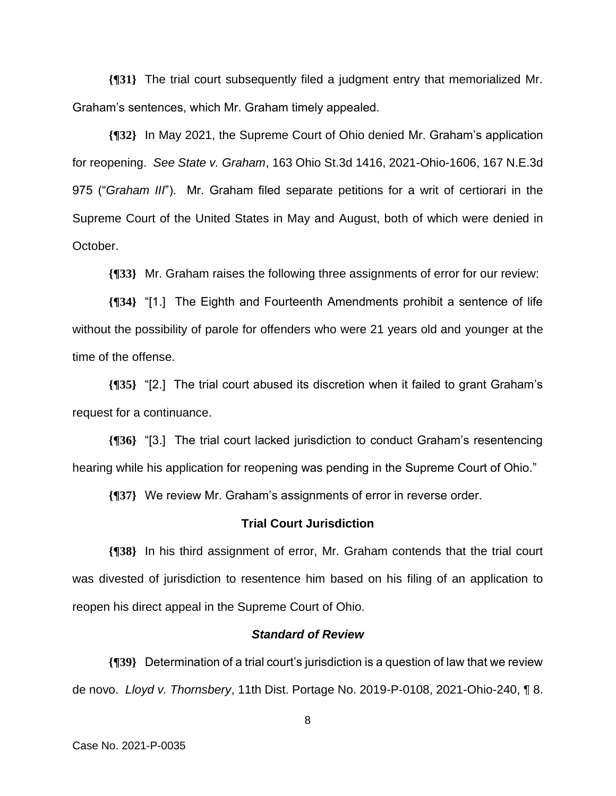**{¶31}** The trial court subsequently filed a judgment entry that memorialized Mr. Graham's sentences, which Mr. Graham timely appealed.

**{¶32}** In May 2021, the Supreme Court of Ohio denied Mr. Graham's application for reopening. *See State v. Graham*, 163 Ohio St.3d 1416, 2021-Ohio-1606, 167 N.E.3d 975 ("*Graham III*"). Mr. Graham filed separate petitions for a writ of certiorari in the Supreme Court of the United States in May and August, both of which were denied in October.

**{¶33}** Mr. Graham raises the following three assignments of error for our review:

**{¶34}** "[1.] The Eighth and Fourteenth Amendments prohibit a sentence of life without the possibility of parole for offenders who were 21 years old and younger at the time of the offense.

**{¶35}** "[2.] The trial court abused its discretion when it failed to grant Graham's request for a continuance.

**{¶36}** "[3.] The trial court lacked jurisdiction to conduct Graham's resentencing hearing while his application for reopening was pending in the Supreme Court of Ohio."

**{¶37}** We review Mr. Graham's assignments of error in reverse order.

#### **Trial Court Jurisdiction**

**{¶38}** In his third assignment of error, Mr. Graham contends that the trial court was divested of jurisdiction to resentence him based on his filing of an application to reopen his direct appeal in the Supreme Court of Ohio.

## *Standard of Review*

**{¶39}** Determination of a trial court's jurisdiction is a question of law that we review de novo. *Lloyd v. Thornsbery*, 11th Dist. Portage No. 2019-P-0108, 2021-Ohio-240, ¶ 8.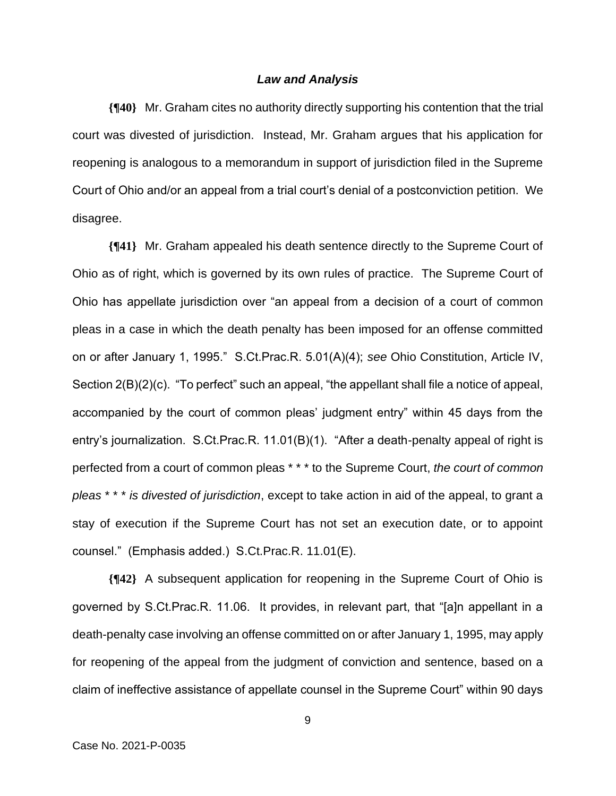# *Law and Analysis*

**{¶40}** Mr. Graham cites no authority directly supporting his contention that the trial court was divested of jurisdiction. Instead, Mr. Graham argues that his application for reopening is analogous to a memorandum in support of jurisdiction filed in the Supreme Court of Ohio and/or an appeal from a trial court's denial of a postconviction petition. We disagree.

**{¶41}** Mr. Graham appealed his death sentence directly to the Supreme Court of Ohio as of right, which is governed by its own rules of practice. The Supreme Court of Ohio has appellate jurisdiction over "an appeal from a decision of a court of common pleas in a case in which the death penalty has been imposed for an offense committed on or after January 1, 1995." S.Ct.Prac.R. 5.01(A)(4); *see* Ohio Constitution, Article IV, Section 2(B)(2)(c). "To perfect" such an appeal, "the appellant shall file a notice of appeal, accompanied by the court of common pleas' judgment entry" within 45 days from the entry's journalization. S.Ct.Prac.R. 11.01(B)(1). "After a death-penalty appeal of right is perfected from a court of common pleas \* \* \* to the Supreme Court, *the court of common pleas* \* \* \* *is divested of jurisdiction*, except to take action in aid of the appeal, to grant a stay of execution if the Supreme Court has not set an execution date, or to appoint counsel." (Emphasis added.) S.Ct.Prac.R. 11.01(E).

**{¶42}** A subsequent application for reopening in the Supreme Court of Ohio is governed by S.Ct.Prac.R. 11.06. It provides, in relevant part, that "[a]n appellant in a death-penalty case involving an offense committed on or after January 1, 1995, may apply for reopening of the appeal from the judgment of conviction and sentence, based on a claim of ineffective assistance of appellate counsel in the Supreme Court" within 90 days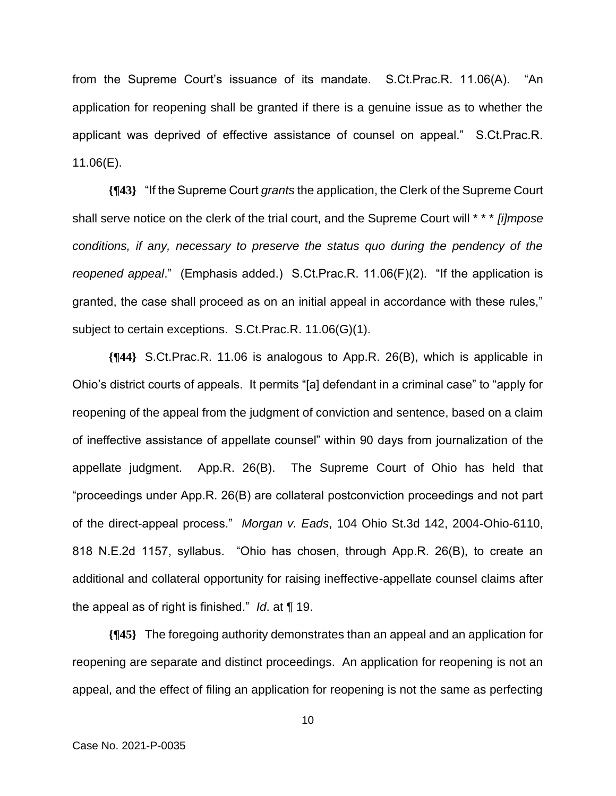from the Supreme Court's issuance of its mandate. S.Ct.Prac.R. 11.06(A). "An application for reopening shall be granted if there is a genuine issue as to whether the applicant was deprived of effective assistance of counsel on appeal." S.Ct.Prac.R. 11.06(E).

**{¶43}** "If the Supreme Court *grants* the application, the Clerk of the Supreme Court shall serve notice on the clerk of the trial court, and the Supreme Court will \* \* \* *[i]mpose conditions, if any, necessary to preserve the status quo during the pendency of the reopened appeal*." (Emphasis added.) S.Ct.Prac.R. 11.06(F)(2). "If the application is granted, the case shall proceed as on an initial appeal in accordance with these rules," subject to certain exceptions. S.Ct.Prac.R. 11.06(G)(1).

**{¶44}** S.Ct.Prac.R. 11.06 is analogous to App.R. 26(B), which is applicable in Ohio's district courts of appeals. It permits "[a] defendant in a criminal case" to "apply for reopening of the appeal from the judgment of conviction and sentence, based on a claim of ineffective assistance of appellate counsel" within 90 days from journalization of the appellate judgment. App.R. 26(B). The Supreme Court of Ohio has held that "proceedings under App.R. 26(B) are collateral postconviction proceedings and not part of the direct-appeal process." *Morgan v. Eads*, 104 Ohio St.3d 142, 2004-Ohio-6110, 818 N.E.2d 1157, syllabus. "Ohio has chosen, through App.R. 26(B), to create an additional and collateral opportunity for raising ineffective-appellate counsel claims after the appeal as of right is finished." *Id*. at ¶ 19.

**{¶45}** The foregoing authority demonstrates than an appeal and an application for reopening are separate and distinct proceedings. An application for reopening is not an appeal, and the effect of filing an application for reopening is not the same as perfecting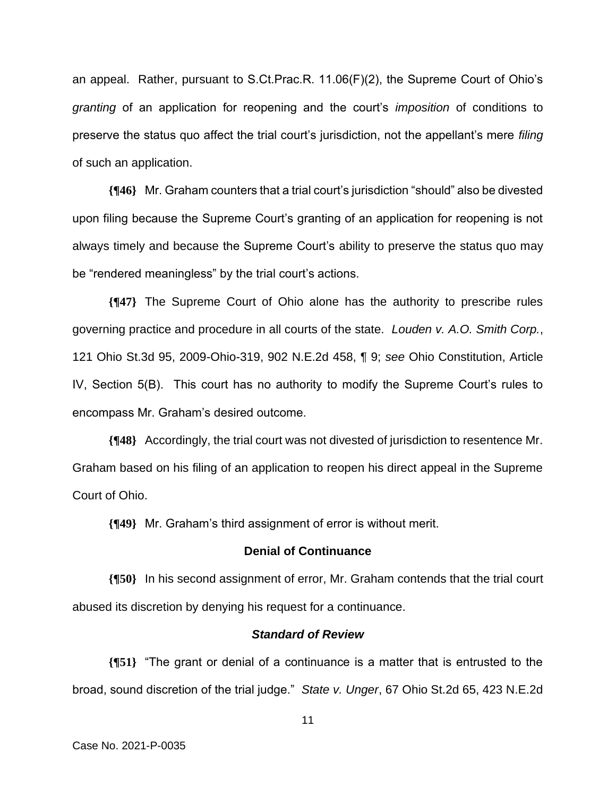an appeal. Rather, pursuant to S.Ct.Prac.R. 11.06(F)(2), the Supreme Court of Ohio's *granting* of an application for reopening and the court's *imposition* of conditions to preserve the status quo affect the trial court's jurisdiction, not the appellant's mere *filing*  of such an application.

**{¶46}** Mr. Graham counters that a trial court's jurisdiction "should" also be divested upon filing because the Supreme Court's granting of an application for reopening is not always timely and because the Supreme Court's ability to preserve the status quo may be "rendered meaningless" by the trial court's actions.

**{¶47}** The Supreme Court of Ohio alone has the authority to prescribe rules governing practice and procedure in all courts of the state. *Louden v. A.O. Smith Corp.*, 121 Ohio St.3d 95, 2009-Ohio-319, 902 N.E.2d 458, ¶ 9; *see* Ohio Constitution, Article IV, Section 5(B). This court has no authority to modify the Supreme Court's rules to encompass Mr. Graham's desired outcome.

**{¶48}** Accordingly, the trial court was not divested of jurisdiction to resentence Mr. Graham based on his filing of an application to reopen his direct appeal in the Supreme Court of Ohio.

**{¶49}** Mr. Graham's third assignment of error is without merit.

# **Denial of Continuance**

**{¶50}** In his second assignment of error, Mr. Graham contends that the trial court abused its discretion by denying his request for a continuance.

#### *Standard of Review*

**{¶51}** "The grant or denial of a continuance is a matter that is entrusted to the broad, sound discretion of the trial judge." *State v. Unger*, 67 Ohio St.2d 65, 423 N.E.2d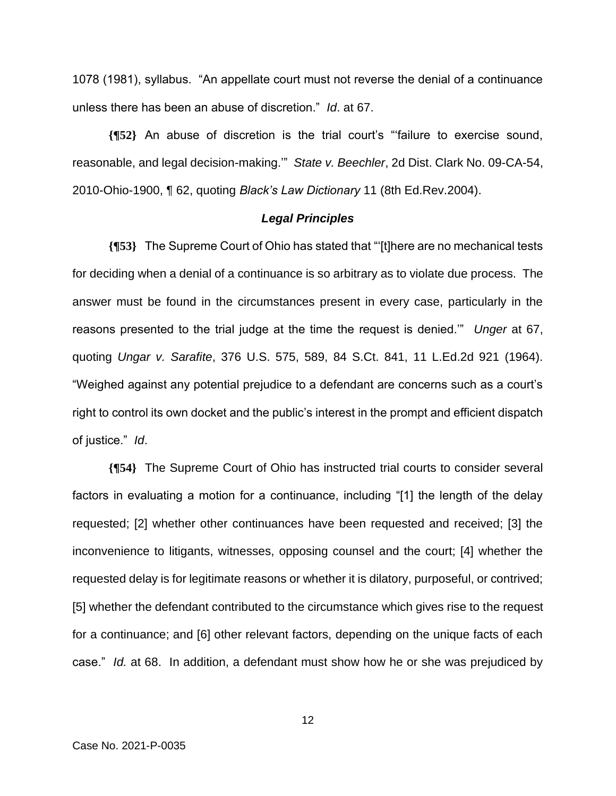1078 (1981), syllabus. "An appellate court must not reverse the denial of a continuance unless there has been an abuse of discretion." *Id*. at 67.

**{¶52}** An abuse of discretion is the trial court's "'failure to exercise sound, reasonable, and legal decision-making.'" *State v. Beechler*, 2d Dist. Clark No. 09-CA-54, 2010-Ohio-1900, ¶ 62, quoting *Black's Law Dictionary* 11 (8th Ed.Rev.2004).

# *Legal Principles*

**{¶53}** The Supreme Court of Ohio has stated that "'[t]here are no mechanical tests for deciding when a denial of a continuance is so arbitrary as to violate due process. The answer must be found in the circumstances present in every case, particularly in the reasons presented to the trial judge at the time the request is denied.'" *Unger* at 67, quoting *Ungar v. Sarafite*, 376 U.S. 575, 589, 84 S.Ct. 841, 11 L.Ed.2d 921 (1964). "Weighed against any potential prejudice to a defendant are concerns such as a court's right to control its own docket and the public's interest in the prompt and efficient dispatch of justice." *Id*.

**{¶54}** The Supreme Court of Ohio has instructed trial courts to consider several factors in evaluating a motion for a continuance, including "[1] the length of the delay requested; [2] whether other continuances have been requested and received; [3] the inconvenience to litigants, witnesses, opposing counsel and the court; [4] whether the requested delay is for legitimate reasons or whether it is dilatory, purposeful, or contrived; [5] whether the defendant contributed to the circumstance which gives rise to the request for a continuance; and [6] other relevant factors, depending on the unique facts of each case." *Id.* at 68. In addition, a defendant must show how he or she was prejudiced by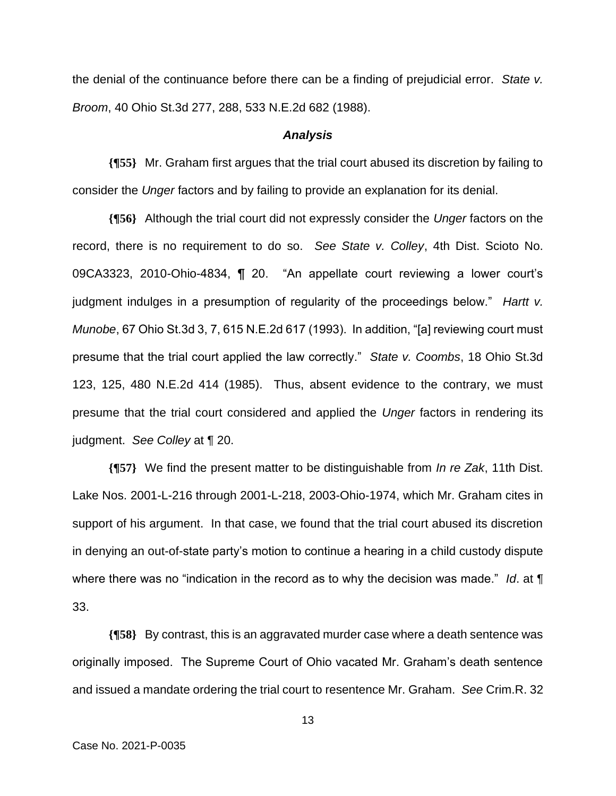the denial of the continuance before there can be a finding of prejudicial error. *State v. Broom*, 40 Ohio St.3d 277, 288, 533 N.E.2d 682 (1988).

#### *Analysis*

**{¶55}** Mr. Graham first argues that the trial court abused its discretion by failing to consider the *Unger* factors and by failing to provide an explanation for its denial.

**{¶56}** Although the trial court did not expressly consider the *Unger* factors on the record, there is no requirement to do so. *See State v. Colley*, 4th Dist. Scioto No. 09CA3323, 2010-Ohio-4834, ¶ 20. "An appellate court reviewing a lower court's judgment indulges in a presumption of regularity of the proceedings below." *Hartt v. Munobe*, 67 Ohio St.3d 3, 7, 615 N.E.2d 617 (1993). In addition, "[a] reviewing court must presume that the trial court applied the law correctly." *State v. Coombs*, 18 Ohio St.3d 123, 125, 480 N.E.2d 414 (1985). Thus, absent evidence to the contrary, we must presume that the trial court considered and applied the *Unger* factors in rendering its judgment. *See Colley* at ¶ 20.

**{¶57}** We find the present matter to be distinguishable from *In re Zak*, 11th Dist. Lake Nos. 2001-L-216 through 2001-L-218, 2003-Ohio-1974, which Mr. Graham cites in support of his argument. In that case, we found that the trial court abused its discretion in denying an out-of-state party's motion to continue a hearing in a child custody dispute where there was no "indication in the record as to why the decision was made." *Id*. at ¶ 33.

**{¶58}** By contrast, this is an aggravated murder case where a death sentence was originally imposed. The Supreme Court of Ohio vacated Mr. Graham's death sentence and issued a mandate ordering the trial court to resentence Mr. Graham. *See* Crim.R. 32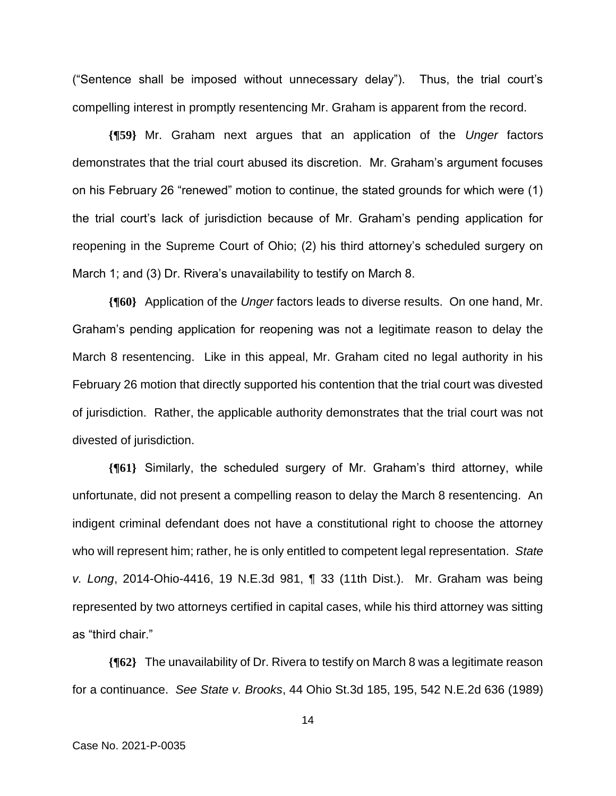("Sentence shall be imposed without unnecessary delay"). Thus, the trial court's compelling interest in promptly resentencing Mr. Graham is apparent from the record.

**{¶59}** Mr. Graham next argues that an application of the *Unger* factors demonstrates that the trial court abused its discretion. Mr. Graham's argument focuses on his February 26 "renewed" motion to continue, the stated grounds for which were (1) the trial court's lack of jurisdiction because of Mr. Graham's pending application for reopening in the Supreme Court of Ohio; (2) his third attorney's scheduled surgery on March 1; and (3) Dr. Rivera's unavailability to testify on March 8.

**{¶60}** Application of the *Unger* factors leads to diverse results. On one hand, Mr. Graham's pending application for reopening was not a legitimate reason to delay the March 8 resentencing. Like in this appeal, Mr. Graham cited no legal authority in his February 26 motion that directly supported his contention that the trial court was divested of jurisdiction. Rather, the applicable authority demonstrates that the trial court was not divested of jurisdiction.

**{¶61}** Similarly, the scheduled surgery of Mr. Graham's third attorney, while unfortunate, did not present a compelling reason to delay the March 8 resentencing. An indigent criminal defendant does not have a constitutional right to choose the attorney who will represent him; rather, he is only entitled to competent legal representation. *State v. Long*, 2014-Ohio-4416, 19 N.E.3d 981, ¶ 33 (11th Dist.). Mr. Graham was being represented by two attorneys certified in capital cases, while his third attorney was sitting as "third chair."

**{¶62}** The unavailability of Dr. Rivera to testify on March 8 was a legitimate reason for a continuance. *See State v. Brooks*, 44 Ohio St.3d 185, 195, 542 N.E.2d 636 (1989)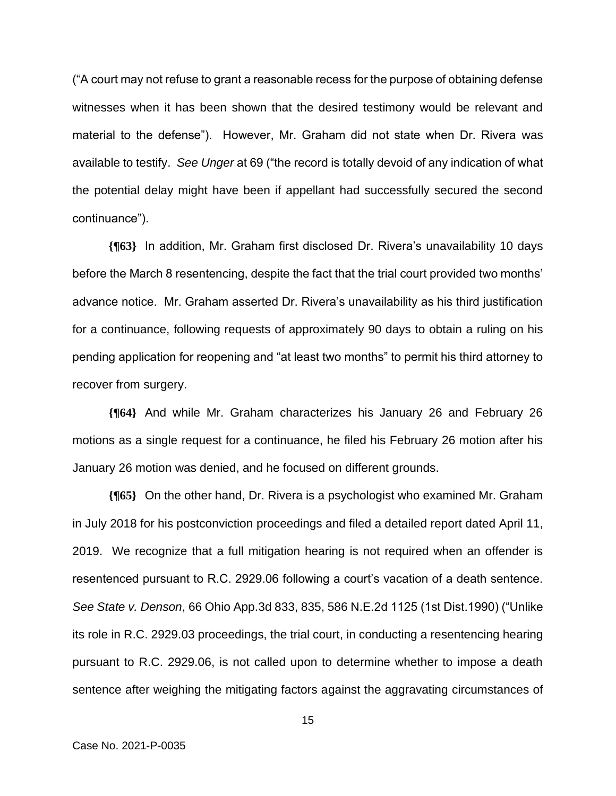("A court may not refuse to grant a reasonable recess for the purpose of obtaining defense witnesses when it has been shown that the desired testimony would be relevant and material to the defense"). However, Mr. Graham did not state when Dr. Rivera was available to testify. *See Unger* at 69 ("the record is totally devoid of any indication of what the potential delay might have been if appellant had successfully secured the second continuance").

**{¶63}** In addition, Mr. Graham first disclosed Dr. Rivera's unavailability 10 days before the March 8 resentencing, despite the fact that the trial court provided two months' advance notice. Mr. Graham asserted Dr. Rivera's unavailability as his third justification for a continuance, following requests of approximately 90 days to obtain a ruling on his pending application for reopening and "at least two months" to permit his third attorney to recover from surgery.

**{¶64}** And while Mr. Graham characterizes his January 26 and February 26 motions as a single request for a continuance, he filed his February 26 motion after his January 26 motion was denied, and he focused on different grounds.

**{¶65}** On the other hand, Dr. Rivera is a psychologist who examined Mr. Graham in July 2018 for his postconviction proceedings and filed a detailed report dated April 11, 2019. We recognize that a full mitigation hearing is not required when an offender is resentenced pursuant to R.C. 2929.06 following a court's vacation of a death sentence. *See State v. Denson*, 66 Ohio App.3d 833, 835, 586 N.E.2d 1125 (1st Dist.1990) ("Unlike its role in R.C. 2929.03 proceedings, the trial court, in conducting a resentencing hearing pursuant to R.C. 2929.06, is not called upon to determine whether to impose a death sentence after weighing the mitigating factors against the aggravating circumstances of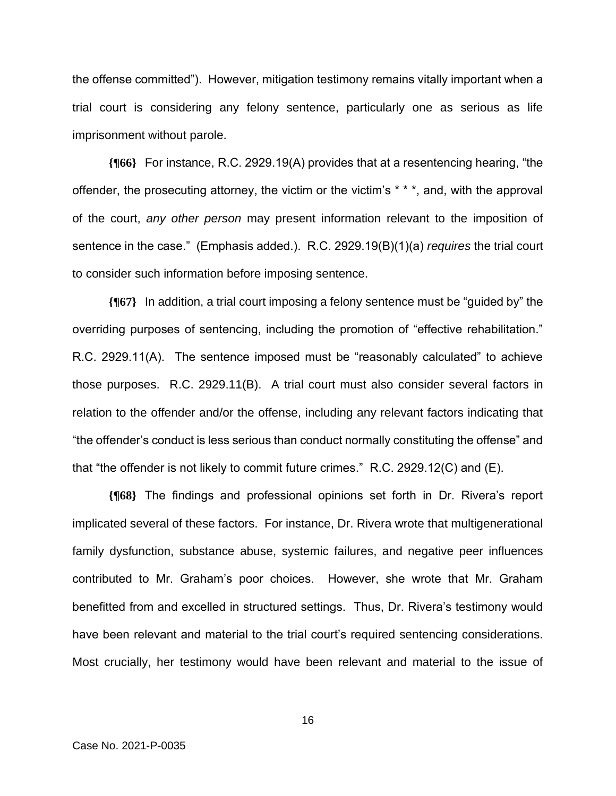the offense committed"). However, mitigation testimony remains vitally important when a trial court is considering any felony sentence, particularly one as serious as life imprisonment without parole.

**{¶66}** For instance, R.C. 2929.19(A) provides that at a resentencing hearing, "the offender, the prosecuting attorney, the victim or the victim's \* \* \*, and, with the approval of the court, *any other person* may present information relevant to the imposition of sentence in the case." (Emphasis added.). R.C. 2929.19(B)(1)(a) *requires* the trial court to consider such information before imposing sentence.

**{¶67}** In addition, a trial court imposing a felony sentence must be "guided by" the overriding purposes of sentencing, including the promotion of "effective rehabilitation." R.C. 2929.11(A). The sentence imposed must be "reasonably calculated" to achieve those purposes. R.C. 2929.11(B). A trial court must also consider several factors in relation to the offender and/or the offense, including any relevant factors indicating that "the offender's conduct is less serious than conduct normally constituting the offense" and that "the offender is not likely to commit future crimes." R.C. 2929.12(C) and (E).

**{¶68}** The findings and professional opinions set forth in Dr. Rivera's report implicated several of these factors. For instance, Dr. Rivera wrote that multigenerational family dysfunction, substance abuse, systemic failures, and negative peer influences contributed to Mr. Graham's poor choices. However, she wrote that Mr. Graham benefitted from and excelled in structured settings. Thus, Dr. Rivera's testimony would have been relevant and material to the trial court's required sentencing considerations. Most crucially, her testimony would have been relevant and material to the issue of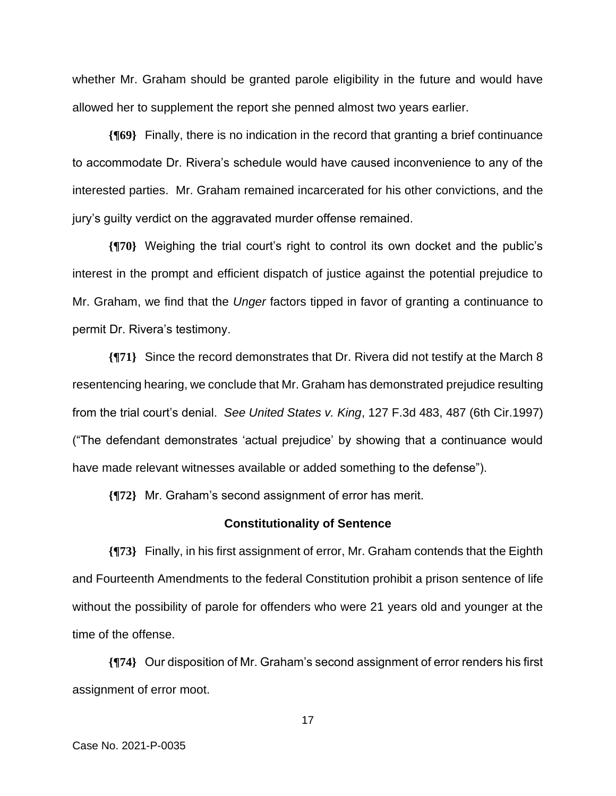whether Mr. Graham should be granted parole eligibility in the future and would have allowed her to supplement the report she penned almost two years earlier.

**{¶69}** Finally, there is no indication in the record that granting a brief continuance to accommodate Dr. Rivera's schedule would have caused inconvenience to any of the interested parties. Mr. Graham remained incarcerated for his other convictions, and the jury's guilty verdict on the aggravated murder offense remained.

**{¶70}** Weighing the trial court's right to control its own docket and the public's interest in the prompt and efficient dispatch of justice against the potential prejudice to Mr. Graham, we find that the *Unger* factors tipped in favor of granting a continuance to permit Dr. Rivera's testimony.

**{¶71}** Since the record demonstrates that Dr. Rivera did not testify at the March 8 resentencing hearing, we conclude that Mr. Graham has demonstrated prejudice resulting from the trial court's denial. *See United States v. King*, 127 F.3d 483, 487 (6th Cir.1997) ("The defendant demonstrates 'actual prejudice' by showing that a continuance would have made relevant witnesses available or added something to the defense").

**{¶72}** Mr. Graham's second assignment of error has merit.

#### **Constitutionality of Sentence**

**{¶73}** Finally, in his first assignment of error, Mr. Graham contends that the Eighth and Fourteenth Amendments to the federal Constitution prohibit a prison sentence of life without the possibility of parole for offenders who were 21 years old and younger at the time of the offense.

**{¶74}** Our disposition of Mr. Graham's second assignment of error renders his first assignment of error moot.